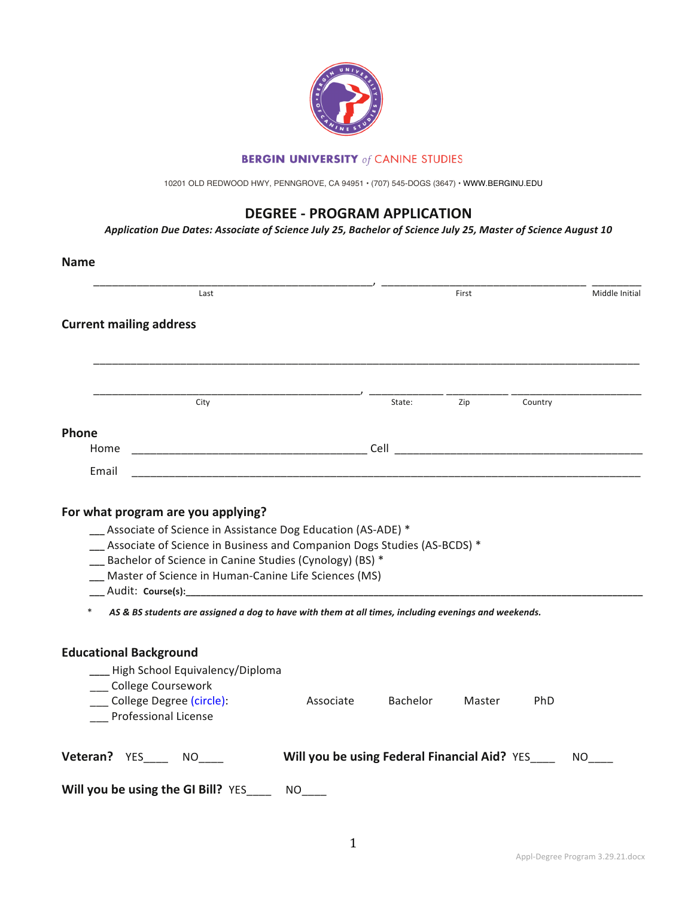

### **BERGIN UNIVERSITY** of CANINE STUDIES

10201 OLD REDWOOD HWY, PENNGROVE, CA 94951 • (707) 545-DOGS (3647) • WWW.BERGINU.EDU

# **DEGREE - PROGRAM APPLICATION**

*Application Due Dates: Associate of Science July 25, Bachelor of Science July 25, Master of Science August 10*

| Last                                                                                                                                                                                            |           |          | First  |         | Middle Initial |
|-------------------------------------------------------------------------------------------------------------------------------------------------------------------------------------------------|-----------|----------|--------|---------|----------------|
| <b>Current mailing address</b>                                                                                                                                                                  |           |          |        |         |                |
| City                                                                                                                                                                                            |           | State:   | Zip    | Country |                |
|                                                                                                                                                                                                 |           |          |        |         |                |
| Phone                                                                                                                                                                                           |           |          |        |         |                |
| Home                                                                                                                                                                                            |           |          |        |         |                |
| Email<br><u> 1989 - Johann John Stoff, deutscher Stoffen und der Stoffen und der Stoffen und der Stoffen und der Stoffen</u>                                                                    |           |          |        |         |                |
| For what program are you applying?<br>-Associate of Science in Assistance Dog Education (AS-ADE) *                                                                                              |           |          |        |         |                |
| -Associate of Science in Business and Companion Dogs Studies (AS-BCDS) *<br>-Bachelor of Science in Canine Studies (Cynology) (BS) *<br>__ Master of Science in Human-Canine Life Sciences (MS) |           |          |        |         |                |
| AS & BS students are assigned a dog to have with them at all times, including evenings and weekends.                                                                                            |           |          |        |         |                |
| <b>Educational Background</b><br>___ High School Equivalency/Diploma<br>College Coursework<br>___ College Degree (circle):<br>Professional License                                              | Associate | Bachelor | Master | PhD     |                |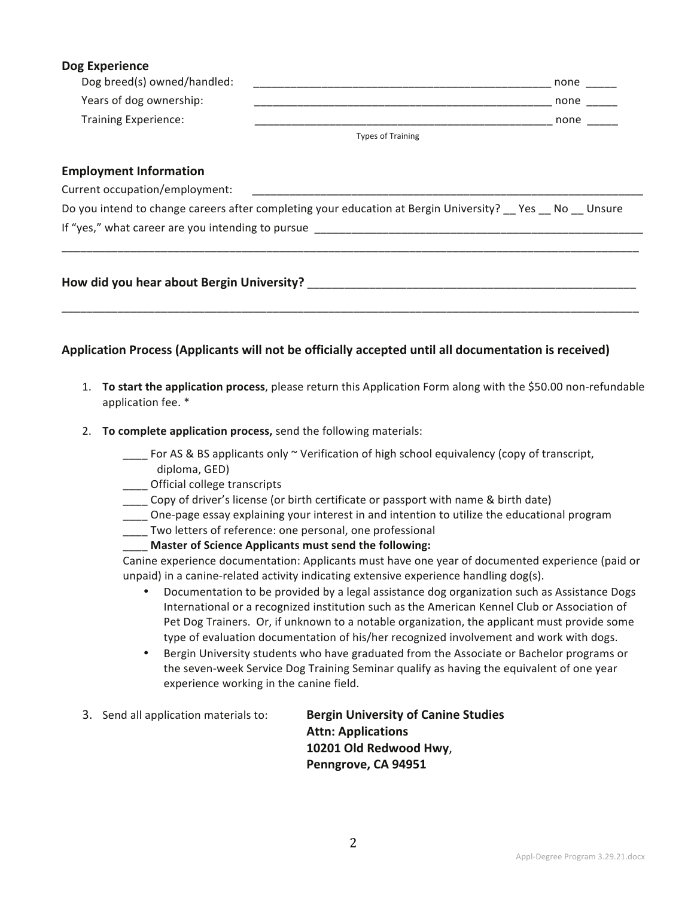### **Dog Experience**

| Dog breed(s) owned/handled: |                          | none |
|-----------------------------|--------------------------|------|
| Years of dog ownership:     |                          | none |
| <b>Training Experience:</b> |                          | none |
|                             | <b>Types of Training</b> |      |

#### **Employment Information**

Current occupation/employment:

| Do you intend to change careers after completing your education at Bergin University? __ Yes __ No __ Unsure |  |
|--------------------------------------------------------------------------------------------------------------|--|
| If "yes," what career are you intending to pursue                                                            |  |

\_\_\_\_\_\_\_\_\_\_\_\_\_\_\_\_\_\_\_\_\_\_\_\_\_\_\_\_\_\_\_\_\_\_\_\_\_\_\_\_\_\_\_\_\_\_\_\_\_\_\_\_\_\_\_\_\_\_\_\_\_\_\_\_\_\_\_\_\_\_\_\_\_\_\_\_\_\_\_\_\_\_\_\_\_\_\_\_\_\_\_\_\_

\_\_\_\_\_\_\_\_\_\_\_\_\_\_\_\_\_\_\_\_\_\_\_\_\_\_\_\_\_\_\_\_\_\_\_\_\_\_\_\_\_\_\_\_\_\_\_\_\_\_\_\_\_\_\_\_\_\_\_\_\_\_\_\_\_\_\_\_\_\_\_\_\_\_\_\_\_\_\_\_\_\_\_\_\_\_\_\_\_\_\_\_\_

### **How did you hear about Bergin University? Letter and Sergin 2008**

### Application Process (Applicants will not be officially accepted until all documentation is received)

- 1. **To start the application process**, please return this Application Form along with the \$50.00 non-refundable application fee. \*
- 2. **To complete application process,** send the following materials:
	- $\frac{1}{1-\epsilon}$  For AS & BS applicants only  $\sim$  Verification of high school equivalency (copy of transcript, diploma, GED)
	- **Cofficial college transcripts**
	- Copy of driver's license (or birth certificate or passport with name & birth date)
	- \_\_\_\_ One-page essay explaining your interest in and intention to utilize the educational program
	- \_\_\_\_ Two letters of reference: one personal, one professional
		- Master of Science Applicants must send the following:

Canine experience documentation: Applicants must have one year of documented experience (paid or unpaid) in a canine-related activity indicating extensive experience handling  $\log(s)$ .

- Documentation to be provided by a legal assistance dog organization such as Assistance Dogs International or a recognized institution such as the American Kennel Club or Association of Pet Dog Trainers. Or, if unknown to a notable organization, the applicant must provide some type of evaluation documentation of his/her recognized involvement and work with dogs.
- Bergin University students who have graduated from the Associate or Bachelor programs or the seven-week Service Dog Training Seminar qualify as having the equivalent of one year experience working in the canine field.
- 3. Send all application materials to: **Bergin University of Canine Studies Attn: Applications 10201 Old Redwood Hwy**, **Penngrove, CA 94951**